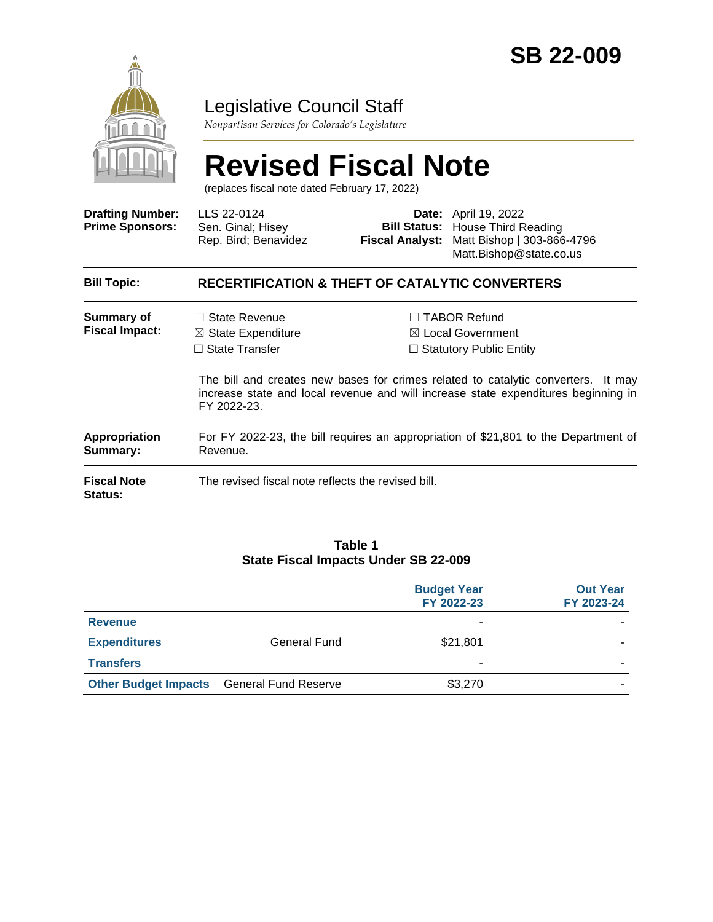

# Legislative Council Staff

*Nonpartisan Services for Colorado's Legislature*

# **Revised Fiscal Note**

(replaces fiscal note dated February 17, 2022)

| <b>Drafting Number:</b><br><b>Prime Sponsors:</b> | LLS 22-0124<br>Sen. Ginal; Hisey<br>Rep. Bird; Benavidez                                          |  | <b>Date:</b> April 19, 2022<br><b>Bill Status: House Third Reading</b><br>Fiscal Analyst: Matt Bishop   303-866-4796<br>Matt.Bishop@state.co.us                                                                                                        |
|---------------------------------------------------|---------------------------------------------------------------------------------------------------|--|--------------------------------------------------------------------------------------------------------------------------------------------------------------------------------------------------------------------------------------------------------|
| <b>Bill Topic:</b>                                | <b>RECERTIFICATION &amp; THEFT OF CATALYTIC CONVERTERS</b>                                        |  |                                                                                                                                                                                                                                                        |
| Summary of<br><b>Fiscal Impact:</b>               | State Revenue<br>$\perp$<br>$\boxtimes$ State Expenditure<br>$\Box$ State Transfer<br>FY 2022-23. |  | <b>TABOR Refund</b><br>⊠ Local Government<br>$\Box$ Statutory Public Entity<br>The bill and creates new bases for crimes related to catalytic converters. It may<br>increase state and local revenue and will increase state expenditures beginning in |
| <b>Appropriation</b><br>Summary:                  | For FY 2022-23, the bill requires an appropriation of \$21,801 to the Department of<br>Revenue.   |  |                                                                                                                                                                                                                                                        |
| <b>Fiscal Note</b><br><b>Status:</b>              | The revised fiscal note reflects the revised bill.                                                |  |                                                                                                                                                                                                                                                        |

#### **Table 1 State Fiscal Impacts Under SB 22-009**

|                             |                             | <b>Budget Year</b><br>FY 2022-23 | <b>Out Year</b><br>FY 2023-24 |
|-----------------------------|-----------------------------|----------------------------------|-------------------------------|
| <b>Revenue</b>              |                             | ۰                                |                               |
| <b>Expenditures</b>         | <b>General Fund</b>         | \$21,801                         |                               |
| <b>Transfers</b>            |                             | ۰                                |                               |
| <b>Other Budget Impacts</b> | <b>General Fund Reserve</b> | \$3,270                          |                               |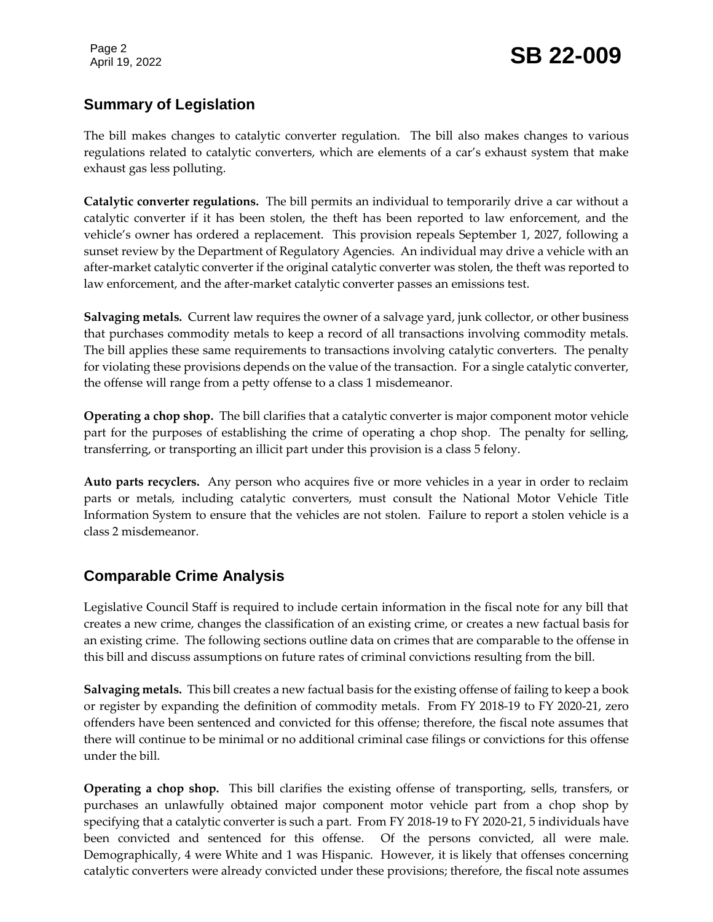# **Summary of Legislation**

The bill makes changes to catalytic converter regulation. The bill also makes changes to various regulations related to catalytic converters, which are elements of a car's exhaust system that make exhaust gas less polluting.

**Catalytic converter regulations.** The bill permits an individual to temporarily drive a car without a catalytic converter if it has been stolen, the theft has been reported to law enforcement, and the vehicle's owner has ordered a replacement. This provision repeals September 1, 2027, following a sunset review by the Department of Regulatory Agencies. An individual may drive a vehicle with an after-market catalytic converter if the original catalytic converter was stolen, the theft was reported to law enforcement, and the after-market catalytic converter passes an emissions test.

**Salvaging metals.** Current law requires the owner of a salvage yard, junk collector, or other business that purchases commodity metals to keep a record of all transactions involving commodity metals. The bill applies these same requirements to transactions involving catalytic converters. The penalty for violating these provisions depends on the value of the transaction. For a single catalytic converter, the offense will range from a petty offense to a class 1 misdemeanor.

**Operating a chop shop.** The bill clarifies that a catalytic converter is major component motor vehicle part for the purposes of establishing the crime of operating a chop shop. The penalty for selling, transferring, or transporting an illicit part under this provision is a class 5 felony.

**Auto parts recyclers.** Any person who acquires five or more vehicles in a year in order to reclaim parts or metals, including catalytic converters, must consult the National Motor Vehicle Title Information System to ensure that the vehicles are not stolen. Failure to report a stolen vehicle is a class 2 misdemeanor.

## **Comparable Crime Analysis**

Legislative Council Staff is required to include certain information in the fiscal note for any bill that creates a new crime, changes the classification of an existing crime, or creates a new factual basis for an existing crime. The following sections outline data on crimes that are comparable to the offense in this bill and discuss assumptions on future rates of criminal convictions resulting from the bill.

**Salvaging metals.** This bill creates a new factual basis for the existing offense of failing to keep a book or register by expanding the definition of commodity metals. From FY 2018-19 to FY 2020-21, zero offenders have been sentenced and convicted for this offense; therefore, the fiscal note assumes that there will continue to be minimal or no additional criminal case filings or convictions for this offense under the bill.

**Operating a chop shop.** This bill clarifies the existing offense of transporting, sells, transfers, or purchases an unlawfully obtained major component motor vehicle part from a chop shop by specifying that a catalytic converter is such a part. From FY 2018-19 to FY 2020-21, 5 individuals have been convicted and sentenced for this offense. Of the persons convicted, all were male. Demographically, 4 were White and 1 was Hispanic. However, it is likely that offenses concerning catalytic converters were already convicted under these provisions; therefore, the fiscal note assumes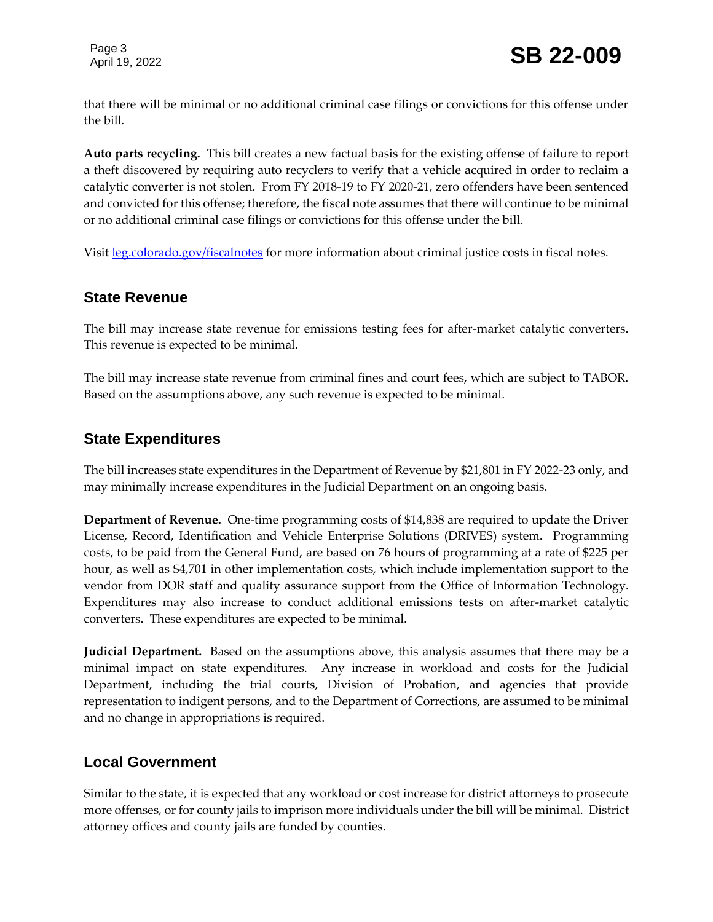Page 3

that there will be minimal or no additional criminal case filings or convictions for this offense under the bill.

**Auto parts recycling.** This bill creates a new factual basis for the existing offense of failure to report a theft discovered by requiring auto recyclers to verify that a vehicle acquired in order to reclaim a catalytic converter is not stolen. From FY 2018-19 to FY 2020-21, zero offenders have been sentenced and convicted for this offense; therefore, the fiscal note assumes that there will continue to be minimal or no additional criminal case filings or convictions for this offense under the bill.

Visit [leg.colorado.gov/fiscalnotes](http://leg.colorado.gov/fiscalnotes/) for more information about criminal justice costs in fiscal notes.

#### **State Revenue**

The bill may increase state revenue for emissions testing fees for after-market catalytic converters. This revenue is expected to be minimal.

The bill may increase state revenue from criminal fines and court fees, which are subject to TABOR. Based on the assumptions above, any such revenue is expected to be minimal.

#### **State Expenditures**

The bill increases state expenditures in the Department of Revenue by \$21,801 in FY 2022-23 only, and may minimally increase expenditures in the Judicial Department on an ongoing basis.

**Department of Revenue.** One-time programming costs of \$14,838 are required to update the Driver License, Record, Identification and Vehicle Enterprise Solutions (DRIVES) system. Programming costs, to be paid from the General Fund, are based on 76 hours of programming at a rate of \$225 per hour, as well as \$4,701 in other implementation costs, which include implementation support to the vendor from DOR staff and quality assurance support from the Office of Information Technology. Expenditures may also increase to conduct additional emissions tests on after-market catalytic converters. These expenditures are expected to be minimal.

**Judicial Department.** Based on the assumptions above, this analysis assumes that there may be a minimal impact on state expenditures. Any increase in workload and costs for the Judicial Department, including the trial courts, Division of Probation, and agencies that provide representation to indigent persons, and to the Department of Corrections, are assumed to be minimal and no change in appropriations is required.

#### **Local Government**

Similar to the state, it is expected that any workload or cost increase for district attorneys to prosecute more offenses, or for county jails to imprison more individuals under the bill will be minimal. District attorney offices and county jails are funded by counties.